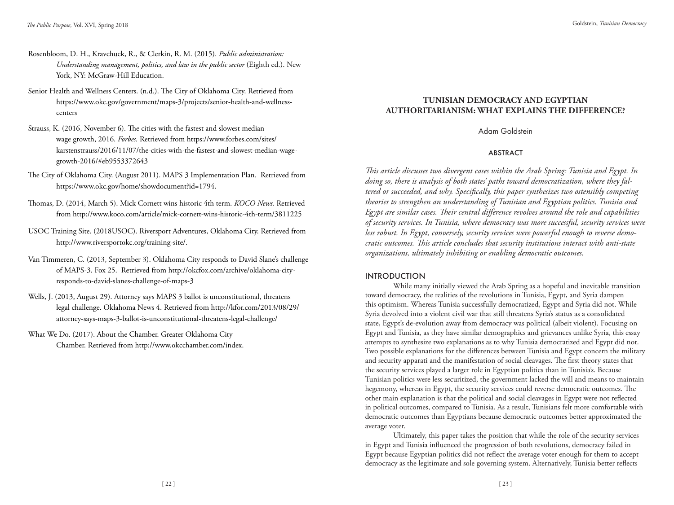- Rosenbloom, D. H., Kravchuck, R., & Clerkin, R. M. (2015). *Public administration: Understanding management, politics, and law in the public sector* (Eighth ed.). New York, NY: McGraw-Hill Education.
- Senior Health and Wellness Centers. (n.d.). The City of Oklahoma City. Retrieved from https://www.okc.gov/government/maps-3/projects/senior-health-and-wellnesscenters
- Strauss, K. (2016, November 6). The cities with the fastest and slowest median wage growth, 2016. *Forbes.* Retrieved from https://www.forbes.com/sites/ karstenstrauss/2016/11/07/the-cities-with-the-fastest-and-slowest-median-wagegrowth-2016/#eb9553372643
- The City of Oklahoma City. (August 2011). MAPS 3 Implementation Plan. Retrieved from https://www.okc.gov/home/showdocument?id=1794.
- Thomas, D. (2014, March 5). Mick Cornett wins historic 4th term. *KOCO News*. Retrieved from http://www.koco.com/article/mick-cornett-wins-historic-4th-term/3811225
- USOC Training Site. (2018USOC). Riversport Adventures, Oklahoma City. Retrieved from http://www.riversportokc.org/training-site/.
- Van Timmeren, C. (2013, September 3). Oklahoma City responds to David Slane's challenge of MAPS-3. Fox 25. Retrieved from http://okcfox.com/archive/oklahoma-cityresponds-to-david-slanes-challenge-of-maps-3
- Wells, J. (2013, August 29). Attorney says MAPS 3 ballot is unconstitutional, threatens legal challenge. Oklahoma News 4. Retrieved from http://kfor.com/2013/08/29/ attorney-says-maps-3-ballot-is-unconstitutional-threatens-legal-challenge/
- What We Do. (2017). About the Chamber. Greater Oklahoma City Chamber. Retrieved from http://www.okcchamber.com/index.

# **TUNISIAN DEMOCRACY AND EGYPTIAN AUTHORITARIANISM: WHAT EXPLAINS THE DIFFERENCE?**

Adam Goldstein

### ABSTRACT

*!is article discusses two divergent cases within the Arab Spring: Tunisia and Egypt. In doing so, there is analysis of both states' paths toward democratization, where they fal*tered or succeeded, and why. Specifically, this paper synthesizes two ostensibly competing *theories to strengthen an understanding of Tunisian and Egyptian politics. Tunisia and Egypt are similar cases. !eir central di#erence revolves around the role and capabilities of security services. In Tunisia, where democracy was more successful, security services were less robust. In Egypt, conversely, security services were powerful enough to reverse democratic outcomes. !is article concludes that security institutions interact with anti-state organizations, ultimately inhibiting or enabling democratic outcomes.* 

### INTRODUCTION

While many initially viewed the Arab Spring as a hopeful and inevitable transition toward democracy, the realities of the revolutions in Tunisia, Egypt, and Syria dampen this optimism. Whereas Tunisia successfully democratized, Egypt and Syria did not. While Syria devolved into a violent civil war that still threatens Syria's status as a consolidated state, Egypt's de-evolution away from democracy was political (albeit violent). Focusing on Egypt and Tunisia, as they have similar demographics and grievances unlike Syria, this essay attempts to synthesize two explanations as to why Tunisia democratized and Egypt did not. Two possible explanations for the differences between Tunisia and Egypt concern the military and security apparati and the manifestation of social cleavages. The first theory states that the security services played a larger role in Egyptian politics than in Tunisia's. Because Tunisian politics were less securitized, the government lacked the will and means to maintain hegemony, whereas in Egypt, the security services could reverse democratic outcomes. The other main explanation is that the political and social cleavages in Egypt were not reflected in political outcomes, compared to Tunisia. As a result, Tunisians felt more comfortable with democratic outcomes than Egyptians because democratic outcomes better approximated the average voter.

Ultimately, this paper takes the position that while the role of the security services in Egypt and Tunisia influenced the progression of both revolutions, democracy failed in Egypt because Egyptian politics did not reflect the average voter enough for them to accept democracy as the legitimate and sole governing system. Alternatively, Tunisia better reflects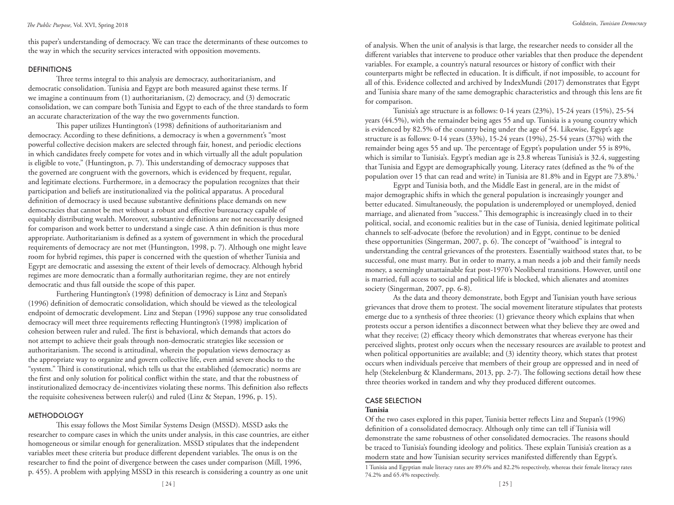this paper's understanding of democracy. We can trace the determinants of these outcomes to the way in which the security services interacted with opposition movements.

## **DEFINITIONS**

Three terms integral to this analysis are democracy, authoritarianism, and democratic consolidation. Tunisia and Egypt are both measured against these terms. If we imagine a continuum from (1) authoritarianism, (2) democracy, and (3) democratic consolidation, we can compare both Tunisia and Egypt to each of the three standards to form an accurate characterization of the way the two governments function.

This paper utilizes Huntington's (1998) definitions of authoritarianism and democracy. According to these definitions, a democracy is when a government's "most powerful collective decision makers are selected through fair, honest, and periodic elections in which candidates freely compete for votes and in which virtually all the adult population is eligible to vote," (Huntington, p. 7). This understanding of democracy supposes that the governed are congruent with the governors, which is evidenced by frequent, regular, and legitimate elections. Furthermore, in a democracy the population recognizes that their participation and beliefs are institutionalized via the political apparatus. A procedural definition of democracy is used because substantive definitions place demands on new democracies that cannot be met without a robust and effective bureaucracy capable of equitably distributing wealth. Moreover, substantive definitions are not necessarily designed for comparison and work better to understand a single case. A thin definition is thus more appropriate. Authoritarianism is defined as a system of government in which the procedural requirements of democracy are not met (Huntington, 1998, p. 7). Although one might leave room for hybrid regimes, this paper is concerned with the question of whether Tunisia and Egypt are democratic and assessing the extent of their levels of democracy. Although hybrid regimes are more democratic than a formally authoritarian regime, they are not entirely democratic and thus fall outside the scope of this paper.

Furthering Huntington's (1998) definition of democracy is Linz and Stepan's (1996) definition of democratic consolidation, which should be viewed as the teleological endpoint of democratic development. Linz and Stepan (1996) suppose any true consolidated democracy will meet three requirements reflecting Huntington's (1998) implication of cohesion between ruler and ruled. The first is behavioral, which demands that actors do not attempt to achieve their goals through non-democratic strategies like secession or authoritarianism. The second is attitudinal, wherein the population views democracy as the appropriate way to organize and govern collective life, even amid severe shocks to the "system." Third is constitutional, which tells us that the established (democratic) norms are the first and only solution for political conflict within the state, and that the robustness of institutionalized democracy de-incentivizes violating these norms. This definition also reflects the requisite cohesiveness between ruler(s) and ruled (Linz & Stepan, 1996, p. 15).

## **METHODOLOGY**

This essay follows the Most Similar Systems Design (MSSD). MSSD asks the researcher to compare cases in which the units under analysis, in this case countries, are either homogeneous or similar enough for generalization. MSSD stipulates that the independent variables meet these criteria but produce different dependent variables. The onus is on the researcher to find the point of divergence between the cases under comparison (Mill, 1996, p. 455). A problem with applying MSSD in this research is considering a country as one unit

of analysis. When the unit of analysis is that large, the researcher needs to consider all the different variables that intervene to produce other variables that then produce the dependent variables. For example, a country's natural resources or history of conflict with their counterparts might be reflected in education. It is difficult, if not impossible, to account for all of this. Evidence collected and archived by IndexMundi (2017) demonstrates that Egypt and Tunisia share many of the same demographic characteristics and through this lens are fit for comparison.

Tunisia's age structure is as follows: 0-14 years (23%), 15-24 years (15%), 25-54 years (44.5%), with the remainder being ages 55 and up. Tunisia is a young country which is evidenced by 82.5% of the country being under the age of 54. Likewise, Egypt's age structure is as follows: 0-14 years (33%), 15-24 years (19%), 25-54 years (37%) with the remainder being ages 55 and up. The percentage of Egypt's population under 55 is 89%, which is similar to Tunisia's. Egypt's median age is 23.8 whereas Tunisia's is 32.4, suggesting that Tunisia and Egypt are demographically young. Literacy rates (defined as the % of the population over 15 that can read and write) in Tunisia are 81.8% and in Egypt are 73.8%.<sup>1</sup>

Egypt and Tunisia both, and the Middle East in general, are in the midst of major demographic shifts in which the general population is increasingly younger and better educated. Simultaneously, the population is underemployed or unemployed, denied marriage, and alienated from "success." This demographic is increasingly clued in to their political, social, and economic realities but in the case of Tunisia, denied legitimate political channels to self-advocate (before the revolution) and in Egypt, continue to be denied these opportunities (Singerman, 2007, p. 6). The concept of "waithood" is integral to understanding the central grievances of the protesters. Essentially waithood states that, to be successful, one must marry. But in order to marry, a man needs a job and their family needs money, a seemingly unattainable feat post-1970's Neoliberal transitions. However, until one is married, full access to social and political life is blocked, which alienates and atomizes society (Singerman, 2007, pp. 6-8).

As the data and theory demonstrate, both Egypt and Tunisian youth have serious grievances that drove them to protest. The social movement literature stipulates that protests emerge due to a synthesis of three theories: (1) grievance theory which explains that when protests occur a person identifies a disconnect between what they believe they are owed and what they receive; (2) efficacy theory which demonstrates that whereas everyone has their perceived slights, protest only occurs when the necessary resources are available to protest and when political opportunities are available; and (3) identity theory, which states that protest occurs when individuals perceive that members of their group are oppressed and in need of help (Stekelenburg & Klandermans, 2013, pp. 2-7). The following sections detail how these three theories worked in tandem and why they produced different outcomes.

## CASE SELECTION

#### **Tunisia**

Of the two cases explored in this paper, Tunisia better reflects Linz and Stepan's (1996) definition of a consolidated democracy. Although only time can tell if Tunisia will demonstrate the same robustness of other consolidated democracies. The reasons should be traced to Tunisia's founding ideology and politics. These explain Tunisia's creation as a modern state and how Tunisian security services manifested differently than Egypt's.

<sup>1</sup> Tunisia and Egyptian male literacy rates are 89.6% and 82.2% respectively, whereas their female literacy rates 74.2% and 65.4% respectively.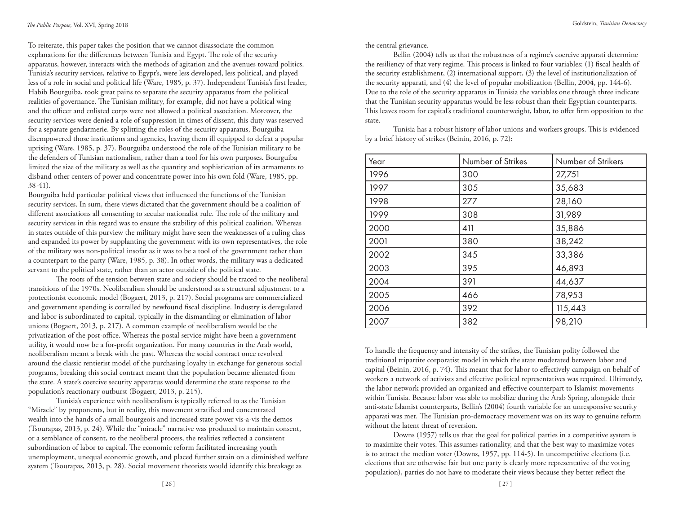To reiterate, this paper takes the position that we cannot disassociate the common explanations for the differences between Tunisia and Egypt. The role of the security apparatus, however, interacts with the methods of agitation and the avenues toward politics. Tunisia's security services, relative to Egypt's, were less developed, less political, and played less of a role in social and political life (Ware, 1985, p. 37). Independent Tunisia's first leader, Habib Bourguiba, took great pains to separate the security apparatus from the political realities of governance. The Tunisian military, for example, did not have a political wing and the officer and enlisted corps were not allowed a political association. Moreover, the security services were denied a role of suppression in times of dissent, this duty was reserved for a separate gendarmerie. By splitting the roles of the security apparatus, Bourguiba disempowered those institutions and agencies, leaving them ill equipped to defeat a popular uprising (Ware, 1985, p. 37). Bourguiba understood the role of the Tunisian military to be the defenders of Tunisian nationalism, rather than a tool for his own purposes. Bourguiba limited the size of the military as well as the quantity and sophistication of its armaments to disband other centers of power and concentrate power into his own fold (Ware, 1985, pp. 38-41).

Bourguiba held particular political views that influenced the functions of the Tunisian security services. In sum, these views dictated that the government should be a coalition of different associations all consenting to secular nationalist rule. The role of the military and security services in this regard was to ensure the stability of this political coalition. Whereas in states outside of this purview the military might have seen the weaknesses of a ruling class and expanded its power by supplanting the government with its own representatives, the role of the military was non-political insofar as it was to be a tool of the government rather than a counterpart to the party (Ware, 1985, p. 38). In other words, the military was a dedicated servant to the political state, rather than an actor outside of the political state.

The roots of the tension between state and society should be traced to the neoliberal transitions of the 1970s. Neoliberalism should be understood as a structural adjustment to a protectionist economic model (Bogaert, 2013, p. 217). Social programs are commercialized and government spending is corralled by newfound fiscal discipline. Industry is deregulated and labor is subordinated to capital, typically in the dismantling or elimination of labor unions (Bogaert, 2013, p. 217). A common example of neoliberalism would be the privatization of the post-office. Whereas the postal service might have been a government utility, it would now be a for-profit organization. For many countries in the Arab world, neoliberalism meant a break with the past. Whereas the social contract once revolved around the classic rentierist model of the purchasing loyalty in exchange for generous social programs, breaking this social contract meant that the population became alienated from the state. A state's coercive security apparatus would determine the state response to the population's reactionary outburst (Bogaert, 2013, p. 215).

Tunisia's experience with neoliberalism is typically referred to as the Tunisian "Miracle" by proponents, but in reality, this movement stratified and concentrated wealth into the hands of a small bourgeois and increased state power vis-a-vis the demos (Tsourapas, 2013, p. 24). While the "miracle" narrative was produced to maintain consent, or a semblance of consent, to the neoliberal process, the realities reflected a consistent subordination of labor to capital. The economic reform facilitated increasing youth unemployment, unequal economic growth, and placed further strain on a diminished welfare system (Tsourapas, 2013, p. 28). Social movement theorists would identify this breakage as

the central grievance.

Bellin (2004) tells us that the robustness of a regime's coercive apparati determine the resiliency of that very regime. This process is linked to four variables: (1) fiscal health of the security establishment, (2) international support, (3) the level of institutionalization of the security apparati, and (4) the level of popular mobilization (Bellin, 2004, pp. 144-6). Due to the role of the security apparatus in Tunisia the variables one through three indicate that the Tunisian security apparatus would be less robust than their Egyptian counterparts. This leaves room for capital's traditional counterweight, labor, to offer firm opposition to the state.

Tunisia has a robust history of labor unions and workers groups. This is evidenced by a brief history of strikes (Beinin, 2016, p. 72):

| Year | Number of Strikes | Number of Strikers |
|------|-------------------|--------------------|
| 1996 | 300               | 27,751             |
| 1997 | 305               | 35,683             |
| 1998 | 277               | 28,160             |
| 1999 | 308               | 31,989             |
| 2000 | 411               | 35,886             |
| 2001 | 380               | 38,242             |
| 2002 | 345               | 33,386             |
| 2003 | 395               | 46,893             |
| 2004 | 391               | 44,637             |
| 2005 | 466               | 78,953             |
| 2006 | 392               | 115,443            |
| 2007 | 382               | 98,210             |

To handle the frequency and intensity of the strikes, the Tunisian polity followed the traditional tripartite corporatist model in which the state moderated between labor and capital (Beinin, 2016, p. 74). This meant that for labor to effectively campaign on behalf of workers a network of activists and effective political representatives was required. Ultimately, the labor network provided an organized and effective counterpart to Islamist movements within Tunisia. Because labor was able to mobilize during the Arab Spring, alongside their anti-state Islamist counterparts, Bellin's (2004) fourth variable for an unresponsive security apparati was met. The Tunisian pro-democracy movement was on its way to genuine reform without the latent threat of reversion.

Downs (1957) tells us that the goal for political parties in a competitive system is to maximize their votes. This assumes rationality, and that the best way to maximize votes is to attract the median voter (Downs, 1957, pp. 114-5). In uncompetitive elections (i.e. elections that are otherwise fair but one party is clearly more representative of the voting population), parties do not have to moderate their views because they better reflect the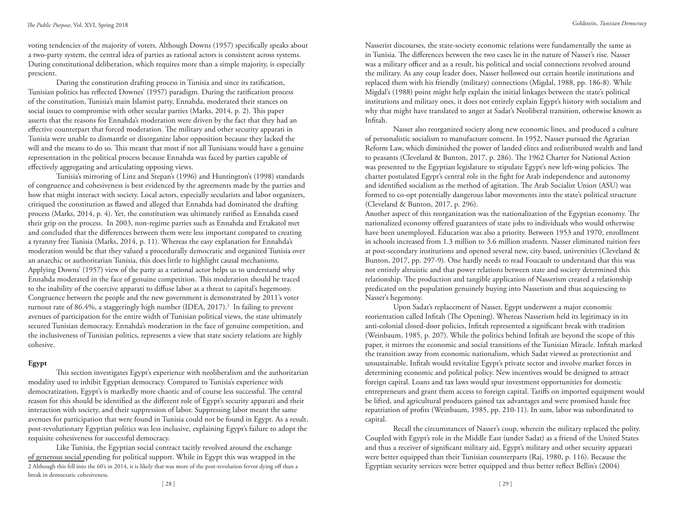voting tendencies of the majority of voters. Although Downs (1957) specifically speaks about a two-party system, the central idea of parties as rational actors is consistent across systems. During constitutional deliberation, which requires more than a simple majority, is especially prescient.

During the constitution drafting process in Tunisia and since its ratification, Tunisian politics has reflected Downes' (1957) paradigm. During the ratification process of the constitution, Tunisia's main Islamist party, Ennahda, moderated their stances on social issues to compromise with other secular parties (Marks, 2014, p. 2). This paper asserts that the reasons for Ennahda's moderation were driven by the fact that they had an effective counterpart that forced moderation. The military and other security apparati in Tunisia were unable to dismantle or disorganize labor opposition because they lacked the will and the means to do so. This meant that most if not all Tunisians would have a genuine representation in the political process because Ennahda was faced by parties capable of effectively aggregating and articulating opposing views.

Tunisia's mirroring of Linz and Stepan's (1996) and Huntington's (1998) standards of congruence and cohesiveness is best evidenced by the agreements made by the parties and how that might interact with society. Local actors, especially secularists and labor organizers, critiqued the constitution as flawed and alleged that Ennahda had dominated the drafting process (Marks, 2014, p. 4). Yet, the constitution was ultimately ratified as Ennahda eased their grip on the process. In 2003, non-regime parties such as Ennahda and Ettakatol met and concluded that the differences between them were less important compared to creating a tyranny free Tunisia (Marks, 2014, p. 11). Whereas the easy explanation for Ennahda's moderation would be that they valued a procedurally democratic and organized Tunisia over an anarchic or authoritarian Tunisia, this does little to highlight causal mechanisms. Applying Downs' (1957) view of the party as a rational actor helps us to understand why Ennahda moderated in the face of genuine competition. This moderation should be traced to the inability of the coercive apparati to diffuse labor as a threat to capital's hegemony. Congruence between the people and the new government is demonstrated by 2011's voter turnout rate of 86.4%, a staggeringly high number (IDEA, 2017).<sup>2</sup> In failing to prevent avenues of participation for the entire width of Tunisian political views, the state ultimately secured Tunisian democracy. Ennahda's moderation in the face of genuine competition, and the inclusiveness of Tunisian politics, represents a view that state society relations are highly cohesive.

## **Egypt**

This section investigates Egypt's experience with neoliberalism and the authoritarian modality used to inhibit Egyptian democracy. Compared to Tunisia's experience with democratization, Egypt's is markedly more chaotic and of course less successful. The central reason for this should be identified as the different role of Egypt's security apparati and their interaction with society, and their suppression of labor. Suppressing labor meant the same avenues for participation that were found in Tunisia could not be found in Egypt. As a result, post-revolutionary Egyptian politics was less inclusive, explaining Egypt's failure to adopt the requisite cohesiveness for successful democracy.

Like Tunisia, the Egyptian social contract tacitly revolved around the exchange of generous social spending for political support. While in Egypt this was wrapped in the 2 Although this fell into the 60's in 2014, it is likely that was more of the post-revolution fervor dying off than a break in democratic cohesiveness.

Nasserist discourses, the state-society economic relations were fundamentally the same as in Tunisia. The differences between the two cases lie in the nature of Nasser's rise. Nasser was a military officer and as a result, his political and social connections revolved around the military. As any coup leader does, Nasser hollowed out certain hostile institutions and replaced them with his friendly (military) connections (Migdal, 1988, pp. 186-8). While Migdal's (1988) point might help explain the initial linkages between the state's political institutions and military ones, it does not entirely explain Egypt's history with socialism and why that might have translated to anger at Sadat's Neoliberal transition, otherwise known as Infitah.

Nasser also reorganized society along new economic lines, and produced a culture of personalistic socialism to manufacture consent. In 1952, Nasser pursued the Agrarian Reform Law, which diminished the power of landed elites and redistributed wealth and land to peasants (Cleveland & Bunton, 2017, p. 286). The 1962 Charter for National Action was presented to the Egyptian legislature to stipulate Egypt's new left-wing policies. The charter postulated Egypt's central role in the fight for Arab independence and autonomy and identified socialism as the method of agitation. The Arab Socialist Union (ASU) was formed to co-opt potentially dangerous labor movements into the state's political structure (Cleveland & Bunton, 2017, p. 296).

Another aspect of this reorganization was the nationalization of the Egyptian economy. The nationalized economy offered guarantees of state jobs to individuals who would otherwise have been unemployed. Education was also a priority. Between 1953 and 1970, enrollment in schools increased from 1.3 million to 3.6 million students. Nasser eliminated tuition fees at post-secondary institutions and opened several new, city based, universities (Cleveland & Bunton, 2017, pp. 297-9). One hardly needs to read Foucault to understand that this was not entirely altruistic and that power relations between state and society determined this relationship. The production and tangible application of Nasserism created a relationship predicated on the population genuinely buying into Nasserism and thus acquiescing to Nasser's hegemony.

Upon Sadat's replacement of Nasser, Egypt underwent a major economic reorientation called Infitah (The Opening). Whereas Nasserism held its legitimacy in its anti-colonial closed-door policies, Infitah represented a significant break with tradition (Weinbaum, 1985, p. 207). While the politics behind Infitah are beyond the scope of this paper, it mirrors the economic and social transitions of the Tunisian Miracle. Infitah marked the transition away from economic nationalism, which Sadat viewed as protectionist and unsustainable. Infitah would revitalize Egypt's private sector and involve market forces in determining economic and political policy. New incentives would be designed to attract foreign capital. Loans and tax laws would spur investment opportunities for domestic entrepreneurs and grant them access to foreign capital. Tariffs on imported equipment would be lifted, and agricultural producers gained tax advantages and were promised hassle free repatriation of profits (Weinbaum, 1985, pp. 210-11). In sum, labor was subordinated to capital.

Recall the circumstances of Nasser's coup, wherein the military replaced the polity. Coupled with Egypt's role in the Middle East (under Sadat) as a friend of the United States and thus a receiver of significant military aid, Egypt's military and other security apparati were better equipped than their Tunisian counterparts (Raj, 1980, p. 116). Because the Egyptian security services were better equipped and thus better reflect Bellin's (2004)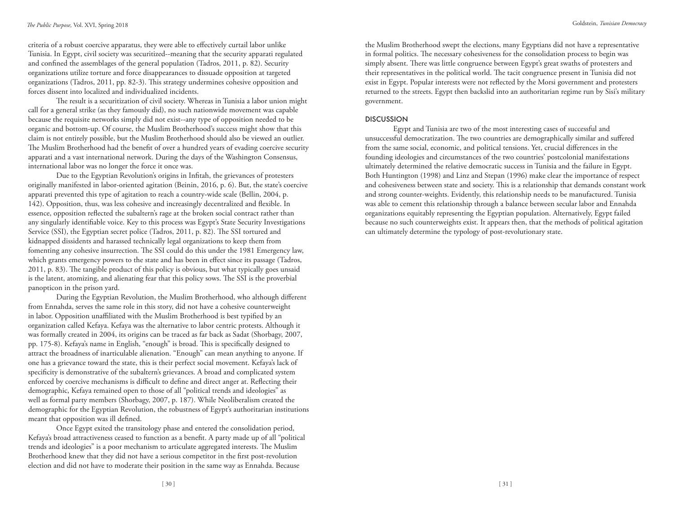criteria of a robust coercive apparatus, they were able to effectively curtail labor unlike Tunisia. In Egypt, civil society was securitized--meaning that the security apparati regulated and confined the assemblages of the general population (Tadros, 2011, p. 82). Security organizations utilize torture and force disappearances to dissuade opposition at targeted organizations (Tadros, 2011, pp. 82-3). This strategy undermines cohesive opposition and forces dissent into localized and individualized incidents.

The result is a securitization of civil society. Whereas in Tunisia a labor union might call for a general strike (as they famously did), no such nationwide movement was capable because the requisite networks simply did not exist--any type of opposition needed to be organic and bottom-up. Of course, the Muslim Brotherhood's success might show that this claim is not entirely possible, but the Muslim Brotherhood should also be viewed an outlier. The Muslim Brotherhood had the benefit of over a hundred years of evading coercive security apparati and a vast international network. During the days of the Washington Consensus, international labor was no longer the force it once was.

Due to the Egyptian Revolution's origins in Infitah, the grievances of protesters originally manifested in labor-oriented agitation (Beinin, 2016, p. 6). But, the state's coercive apparati prevented this type of agitation to reach a country-wide scale (Bellin, 2004, p. 142). Opposition, thus, was less cohesive and increasingly decentralized and flexible. In essence, opposition reflected the subaltern's rage at the broken social contract rather than any singularly identifiable voice. Key to this process was Egypt's State Security Investigations Service (SSI), the Egyptian secret police (Tadros, 2011, p. 82). The SSI tortured and kidnapped dissidents and harassed technically legal organizations to keep them from fomenting any cohesive insurrection. The SSI could do this under the 1981 Emergency law, which grants emergency powers to the state and has been in effect since its passage (Tadros, 2011, p. 83). The tangible product of this policy is obvious, but what typically goes unsaid is the latent, atomizing, and alienating fear that this policy sows. The SSI is the proverbial panopticon in the prison yard.

During the Egyptian Revolution, the Muslim Brotherhood, who although different from Ennahda, serves the same role in this story, did not have a cohesive counterweight in labor. Opposition unaffiliated with the Muslim Brotherhood is best typified by an organization called Kefaya. Kefaya was the alternative to labor centric protests. Although it was formally created in 2004, its origins can be traced as far back as Sadat (Shorbagy, 2007, pp. 175-8). Kefaya's name in English, "enough" is broad. This is specifically designed to attract the broadness of inarticulable alienation. "Enough" can mean anything to anyone. If one has a grievance toward the state, this is their perfect social movement. Kefaya's lack of specificity is demonstrative of the subaltern's grievances. A broad and complicated system enforced by coercive mechanisms is difficult to define and direct anger at. Reflecting their demographic, Kefaya remained open to those of all "political trends and ideologies" as well as formal party members (Shorbagy, 2007, p. 187). While Neoliberalism created the demographic for the Egyptian Revolution, the robustness of Egypt's authoritarian institutions meant that opposition was ill defined.

Once Egypt exited the transitology phase and entered the consolidation period, Kefaya's broad attractiveness ceased to function as a benefit. A party made up of all "political trends and ideologies" is a poor mechanism to articulate aggregated interests. The Muslim Brotherhood knew that they did not have a serious competitor in the first post-revolution election and did not have to moderate their position in the same way as Ennahda. Because

the Muslim Brotherhood swept the elections, many Egyptians did not have a representative in formal politics. The necessary cohesiveness for the consolidation process to begin was simply absent. There was little congruence between Egypt's great swaths of protesters and their representatives in the political world. The tacit congruence present in Tunisia did not exist in Egypt. Popular interests were not reflected by the Morsi government and protesters returned to the streets. Egypt then backslid into an authoritarian regime run by Sisi's military government.

#### **DISCUSSION**

Egypt and Tunisia are two of the most interesting cases of successful and unsuccessful democratization. The two countries are demographically similar and suffered from the same social, economic, and political tensions. Yet, crucial differences in the founding ideologies and circumstances of the two countries' postcolonial manifestations ultimately determined the relative democratic success in Tunisia and the failure in Egypt. Both Huntington (1998) and Linz and Stepan (1996) make clear the importance of respect and cohesiveness between state and society. This is a relationship that demands constant work and strong counter-weights. Evidently, this relationship needs to be manufactured. Tunisia was able to cement this relationship through a balance between secular labor and Ennahda organizations equitably representing the Egyptian population. Alternatively, Egypt failed because no such counterweights exist. It appears then, that the methods of political agitation can ultimately determine the typology of post-revolutionary state.